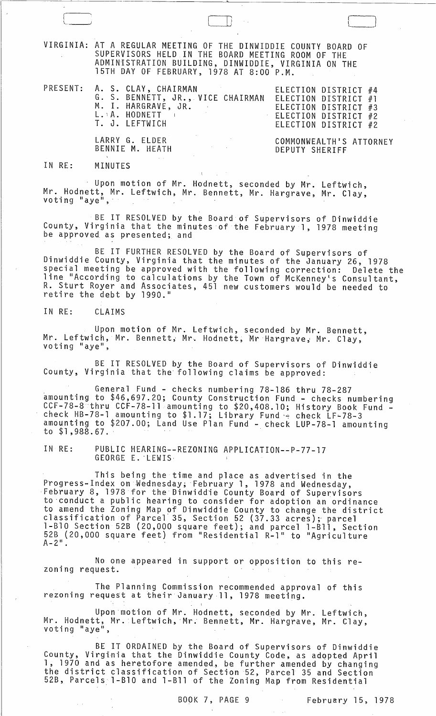VIRGINIA: AT A REGULAR MEETING OF THE DINWIDDIE COUNTY BOARD OF SUPERVISORS HELD IN THE BOARD MEETING ROOM OF THE ADMINiSTRATION BUILDING, DINWIDDIE, VIRGINIA ON THE 15TH DAY OF FEBRUARY, 1978 AT 8:00 P.M.

PRESENT:

|  |  | A. S. CLAY, CHAIRMAN<br>G. S. BENNETT, JR., VICE CHAIRMAN<br>M. I. HARGRAVE, JR.<br>L. A. HODNETT I<br>T. J. LEFTWICH | ELECTION DISTRICT #1<br>$\pm$ ELECTION DISTRICT #2 | ELECTION DISTRICT #4<br>ELECTION DISTRICT #3<br>ELECTION DISTRICT #2 |  |
|--|--|-----------------------------------------------------------------------------------------------------------------------|----------------------------------------------------|----------------------------------------------------------------------|--|
|--|--|-----------------------------------------------------------------------------------------------------------------------|----------------------------------------------------|----------------------------------------------------------------------|--|

LARRY G. ELDER BENNIE M. HEATH

 $\Box$ 

COMMONWEALTH'S ATTORNEY DEPUTY SHERIFF

 $\begin{array}{|c|c|} \hline \quad \quad & \quad \quad & \quad \quad \\ \hline \quad \quad & \quad \quad & \quad \quad \\ \hline \quad \quad & \quad \quad & \quad \quad \\ \hline \end{array}$ 

#### IN RE: MINUTES

Upon motion of Mr. Hodnett, seconded by Mr. Leftwich, Mr. Hodnett, Mr. Leftwich, Mr. Bennett, Mr. Hargrave, Mr. Clay,

BE IT RESOLVED by the Board of Supervisors of Dinwiddie County, Virginia that the minutes of the February 1, 1978 meeting be approved as presented; and

BE IT FURTHER RESOLVED by the Board of Supervisors of Dinwiddie County, Virginia that the minutes of the January 26, 1978 special meeting be approved with the following correction: Delete the line "According to calculations by the Town of McKenney's Consultant, R. Sturt Royer and Associates, 451 new customers would be needed to we can end with the mosses.

## IN RE: CLAIMS

Upon motion of Mr. Leftwich, seconded by Mr. Bennett, Mr. Leftwich, Mr. Bennett, Mr. Hodnett, Mr Hargrave, Mr. Clay,

BE IT RESOLVED by the Board of Supervisors of Dinwiddie County, Virginia that the following claims be approved:

General Fund - checks numbering 78-186 thru 78-287 amounting to \$46,697.20; County Construction Fund - checks numbering CCF-78-8 thru CCF-78-11 amounting to \$20,408.10; History Book Fund -<br>check HB-78-1 amounting to \$1.17; Library Fund - check LF-78-3 amounting to \$207.00; Land Use Plan Fund - check LUP-78-1 amounting to \$1,988.67.

IN RE: PUBLIC HEARING--REZONING APPLICATION--P-77-l7 GEORGE E. 'LEWIS,

This being the time and place as advertised in the Progress-Index on Wednesday, February 1, 1978 and Wednesday, February 8, 1978 for the Dinwiddie County Board of Supervisors to'conduct a public hearing to consider for adoption an ordinance to amend the Zoning Map of Dinwiddie County to change the district classification of Parcel' 35, Section 52 (37.33 acres);- parcel l-B10 Section 52B (20,000 square feet); and parcel l-Bll, Section 52B (20,000 square feet) from "Residential R-1" to "Agriculture<br>A-2".

No one appeared in support or opposition to this rezoning request.

The Planning Commission recommended approval of this rezoning request at their January 11, 1978 meeting.

Upon motion of Mr. Hodnett, seconded by Mr. Leftwich, Mr. Hodnett, Mr. Leftwich, Mr. Bennett, Mr. Hargrave, Mr. Clay, voting "aye",

BE IT ORDAINED by the Board of Supervisors of Dinwiddie County, Virginia that the Dinwiddie County Code, as adqpted April 1, 1970 and as heretofore amended, be further amended by changing the district classification of Section 52, Parcel 35 and Section 52B, Parcels l-B10 and l-Bll of the Zoning Map from Residential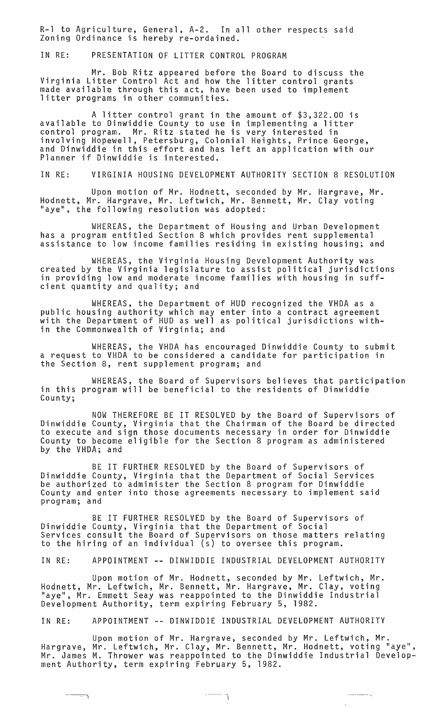R-l to Agriculture, General, A-2. In all other respects said Zoning Ordinance is hereby re-ordained.

IN RE: PRESENTATION OF LITTER CONTROL PROGRAM

Mr. Bob Ritz appeared before the Board to discuss the Virginia Litter Control Act and how the litter control grants made available through this act, have been used to implement<br>litter programs in other communities.

A litter control grant in the amount of \$3,322.00 is available to Dinwiddie County to use in implementing a litter control program. Mr. Ritz stated he is very interested in involving Hopewell, Petersburg, Colonial Heights, Prince George, and Dinwiddie in this effort and has left an application with our Planner if Dinwiddie is interested.

IN RE: VIRGINIA HOUSING DEVELOPMENT AUTHORITY SECTION 8 RESOLUTION

Upon motion of Mr. Hodnett, seconded by Mr. Hargrave, Mr. Hodnett, Mr. Hargrave, Mr. Leftwich, Mr. Bennett, Mr. Clay voting "aye", the following resolution was adopted:

WHEREAS, the Department of Housing and Urban Development has a program entitled Section 8 which provides rent supplemental assistance to low income families residing in existing housing; and

WHEREAS, the Virginia Housing Development Authority was created by the Virginia legislature to assist political jurisdictions in providing low and moderate income families with housing in suffcient quantity and quality; and

WHEREAS, the Department of HUD recognized the VHDA as a public housing authority which may enter into a contract agreement with the Department of HUD as well as- political jurisdictions within the Commonwealth of Virginia; and

WHEREAS, the VHDA has encouraged Dinwiddie County to submit a request to VHDA to be considered a candidate for participation in the Section 8, rent supplement program; and

WHEREAS, the Board of Supervisors believes that participation in this program will be beneficial to the residents of Dinwiddie County;

NOW THEREFORE BE IT RESOLVED by the Board of Supervisors of Dinwiddie County, Virginia that the Chairman of the Board be directed to execute and sign those documents necessary in order for Dinwiddie County to become eligible for the Section 8 program as administered by the VHDA; and

BE IT FURTHER RESOLVED by the Board of Supervisors of Dinwiddie County, Virginia that the Department of Social Services be authorized to administer the Section 8 program for Dinwiddie County and enter into those agreements necessary to implement said program; and

BE IT FURTHER RESOLVED by the Board of Supervisors of Dinwiddie County, Virginia that the Department of Social Services consult the Board of Supervisors on those matters relating to the hiring of an individual (s) to oversee this program.

IN RE: APPOINTMENT -- DINWIDDIE INDUSTRIAL DEVELOPMENT AUTHORITY

Upon motion of Mr. Hodnett, seconded by Mr. Leftwich, Mr. Hodnett, Mr. Leftwich, Mr. Bennett, Mr. Hargrave, Mr. Clay, voting "aye", Mr. Emmett Seay was reappointed to the Dinwiddie Industrial Development Authority, term expiring February 5, 1982.

IN RE: APPOINTMENT -- DINWIDDIE INDUSTRIAL DEVELOPMENT AUTHORITY

-~ "' i

Upon motion of Mr. Hargrave, seconded by Mr. Leftwich, Mr. Hargrave, Mr. Leftwich, Mr. Clay, Mr. Bennett, Mr. Hodnett, voting "aye", Mr. James M. Thrower was reappointed to the Dinwiddie Industrial Development Authority, term expiring February 5, 1982.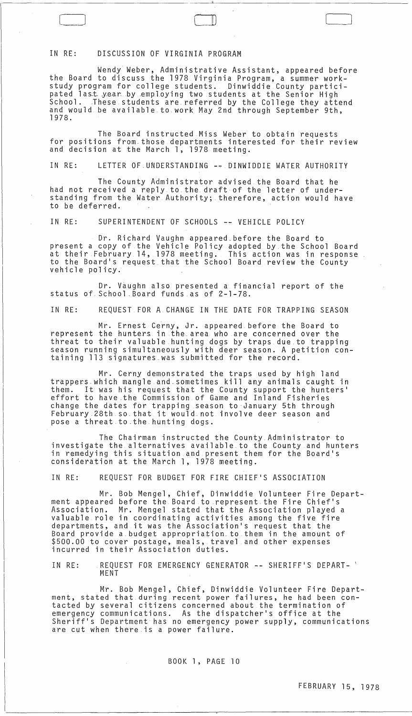#### IN RE: DISCUSSION OF VIRGINIA PROGRAM

Wendy Weber, Administrative Assistant, appeared before the Board to discuss the 1978 Virginia Program, a summer workstudy program for college students. Dinwiddie County participated last year by employing two students at the Senior High stuuy program for coffege students. Dinwiddie tounty partici-<br>pated last year by employing two students at the Senior High<br>School. These students are referred by the College they attend<br>and would be available to work May 2 1978.

 $\Box$ 

The Board instructed Miss Weber to obtain requests for positions from. those departments interested for their review and decision at the March 1, 1978 meeting.

IN RE: LETTER OF. UNDERSTANDING -~ DINWIDDIE WATER AUTHORITY

The County Administrator advised the Board that he had not received a reply to. the draft of the letter of understanding from the Water Authority; therefore, action would have to be deferred.

IN RE: SUPERINTENDENT OF SCHOOLS ~- VEHICLE POLICY

Dr. Richard Vaughn appeared before the Board to present a copy of the Vehicle Policy adopted by the School Board at their February 14, 1978 meeting. This action was in response to the Board's request that the School Board review the County<br>vehicle policy.

Dr. Vaughn also presented a financial report of the status of. School \_Board funds as of 2-1-78.

IN RE: REQUEST FOR A CHANGE IN THE DATE FOR TRAPPING SEASON

Mr. Ernest Cerny, Jr. appeared before the Board to represent the hunters in the\_area who are concerned over the threat to their valuable hunting dogs by traps due to trapping season running simultaneously with deer season. A petition containing 113 signatures.was submitted for the record.

Mr. Cerny demonstrated the traps used by high land trappers which mangle and sometimes kill any animals caught in them. It was his request that the County support the hunters ' effort to have.the Commission of Game and Inland Fisheries change the dates for trapping season to ·January 5th through February 28th so that it would not involve deer season and pose a threat to the hunting dogs.

The Chairman instructed the County Administrator to investigate the alternatives available to the County and hunters in remedying this situation and present them for the Board's consideration at the March 1, 1978 meeting.

IN RE: REQUEST FOR BUDGET FOR FIRE CHIEF'S ASSOCIATION

Mr. Bob Mengel, Chief, Dinwiddie Volunteer Fire Department appeared before the. Board to represent the Fire Chief's Association. Mr. Mengel stated that the Association played a valuable role in coordinating activities among the five fire departments, and it was the Association's request that the Board provide a.budget appropriation. to them in the amount of \$500.00 to cover postage, meals, travel and other expenses incurred in their Association duties.

IN RE: REQUEST FOR EMERGENCY GENERATOR **--** SHERIFF'S DEPART- \ MENT

Mr. Bob Mengel, Chief, Dinwiddie Volunteer Fire Department, stated that during recent power failures, he had been contacted by several citizens concerned about the termination of emergency communications. As the dispatcher's office at the Sheriff's Department has no emergency power supply, communications are cut when there.is a power failure.

BOOK 1, PAGE 10

 $\sim 10^{-1}$